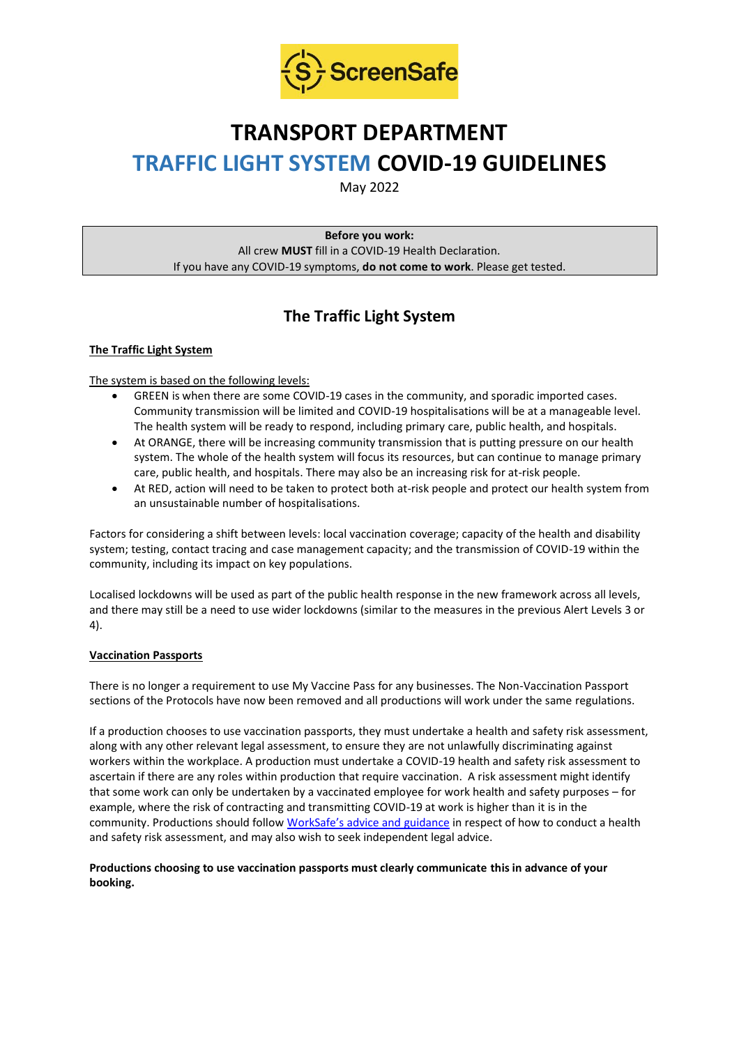

# **TRANSPORT DEPARTMENT TRAFFIC LIGHT SYSTEM COVID-19 GUIDELINES**

May 2022

**Before you work:** All crew **MUST** fill in a COVID-19 Health Declaration. If you have any COVID-19 symptoms, **do not come to work**. Please get tested.

# **The Traffic Light System**

# **The Traffic Light System**

The system is based on the following levels:

- GREEN is when there are some COVID-19 cases in the community, and sporadic imported cases. Community transmission will be limited and COVID-19 hospitalisations will be at a manageable level. The health system will be ready to respond, including primary care, public health, and hospitals.
- At ORANGE, there will be increasing community transmission that is putting pressure on our health system. The whole of the health system will focus its resources, but can continue to manage primary care, public health, and hospitals. There may also be an increasing risk for at-risk people.
- At RED, action will need to be taken to protect both at-risk people and protect our health system from an unsustainable number of hospitalisations.

Factors for considering a shift between levels: local vaccination coverage; capacity of the health and disability system; testing, contact tracing and case management capacity; and the transmission of COVID-19 within the community, including its impact on key populations.

Localised lockdowns will be used as part of the public health response in the new framework across all levels, and there may still be a need to use wider lockdowns (similar to the measures in the previous Alert Levels 3 or 4).

# **Vaccination Passports**

There is no longer a requirement to use My Vaccine Pass for any businesses. The Non-Vaccination Passport sections of the Protocols have now been removed and all productions will work under the same regulations.

If a production chooses to use vaccination passports, they must undertake a health and safety risk assessment, along with any other relevant legal assessment, to ensure they are not unlawfully discriminating against workers within the workplace. A production must undertake a COVID-19 health and safety risk assessment to ascertain if there are any roles within production that require vaccination. A risk assessment might identify that some work can only be undertaken by a vaccinated employee for work health and safety purposes – for example, where the risk of contracting and transmitting COVID-19 at work is higher than it is in the community. Productions should follow [WorkSafe's advice and guidance](https://www.worksafe.govt.nz/managing-health-and-safety/novel-coronavirus-covid/covid-19-controls-at-work/) in respect of how to conduct a health and safety risk assessment, and may also wish to seek independent legal advice.

### **Productions choosing to use vaccination passports must clearly communicate this in advance of your booking.**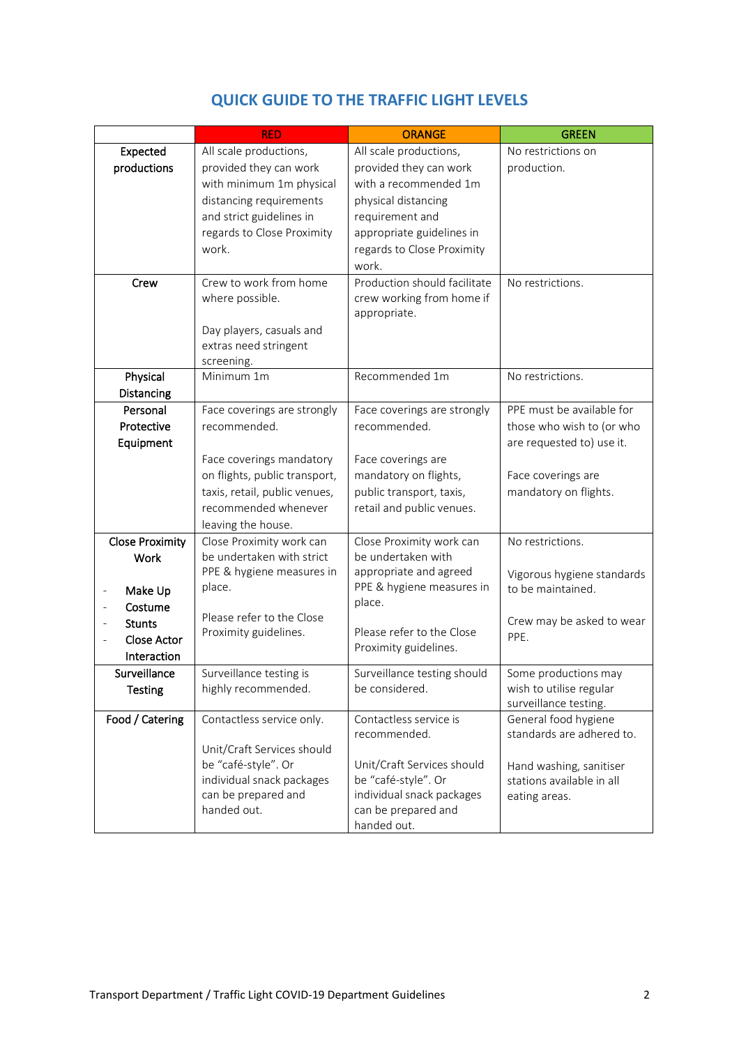|                                         | <b>RED</b>                    | <b>ORANGE</b>                | <b>GREEN</b>               |
|-----------------------------------------|-------------------------------|------------------------------|----------------------------|
| Expected                                | All scale productions,        | All scale productions,       | No restrictions on         |
| productions                             | provided they can work        | provided they can work       | production.                |
|                                         | with minimum 1m physical      | with a recommended 1m        |                            |
|                                         | distancing requirements       | physical distancing          |                            |
|                                         | and strict guidelines in      | requirement and              |                            |
|                                         | regards to Close Proximity    | appropriate guidelines in    |                            |
|                                         | work.                         | regards to Close Proximity   |                            |
|                                         |                               | work.                        |                            |
| Crew                                    | Crew to work from home        | Production should facilitate | No restrictions.           |
|                                         | where possible.               | crew working from home if    |                            |
|                                         |                               | appropriate.                 |                            |
|                                         | Day players, casuals and      |                              |                            |
|                                         | extras need stringent         |                              |                            |
|                                         | screening.                    |                              |                            |
| Physical                                | Minimum 1m                    | Recommended 1m               | No restrictions.           |
| Distancing                              |                               |                              |                            |
| Personal                                | Face coverings are strongly   | Face coverings are strongly  | PPE must be available for  |
| Protective                              | recommended.                  | recommended.                 | those who wish to (or who  |
| Equipment                               |                               |                              | are requested to) use it.  |
|                                         | Face coverings mandatory      | Face coverings are           |                            |
|                                         | on flights, public transport, | mandatory on flights,        | Face coverings are         |
|                                         | taxis, retail, public venues, | public transport, taxis,     | mandatory on flights.      |
|                                         | recommended whenever          | retail and public venues.    |                            |
|                                         | leaving the house.            |                              |                            |
| <b>Close Proximity</b>                  | Close Proximity work can      | Close Proximity work can     | No restrictions.           |
| <b>Work</b>                             | be undertaken with strict     | be undertaken with           |                            |
|                                         | PPE & hygiene measures in     | appropriate and agreed       | Vigorous hygiene standards |
| Make Up<br>$\qquad \qquad \blacksquare$ | place.                        | PPE & hygiene measures in    | to be maintained.          |
| Costume                                 |                               | place.                       |                            |
| <b>Stunts</b>                           | Please refer to the Close     |                              | Crew may be asked to wear  |
| <b>Close Actor</b>                      | Proximity guidelines.         | Please refer to the Close    | PPE.                       |
| Interaction                             |                               | Proximity guidelines.        |                            |
| Surveillance                            | Surveillance testing is       | Surveillance testing should  | Some productions may       |
| <b>Testing</b>                          | highly recommended.           | be considered.               | wish to utilise regular    |
|                                         |                               |                              | surveillance testing.      |
| Food / Catering                         | Contactless service only.     | Contactless service is       | General food hygiene       |
|                                         |                               | recommended.                 | standards are adhered to.  |
|                                         | Unit/Craft Services should    |                              |                            |
|                                         | be "café-style". Or           | Unit/Craft Services should   | Hand washing, sanitiser    |
|                                         | individual snack packages     | be "café-style". Or          | stations available in all  |
|                                         | can be prepared and           | individual snack packages    | eating areas.              |
|                                         | handed out.                   | can be prepared and          |                            |
|                                         |                               | handed out.                  |                            |

# **QUICK GUIDE TO THE TRAFFIC LIGHT LEVELS**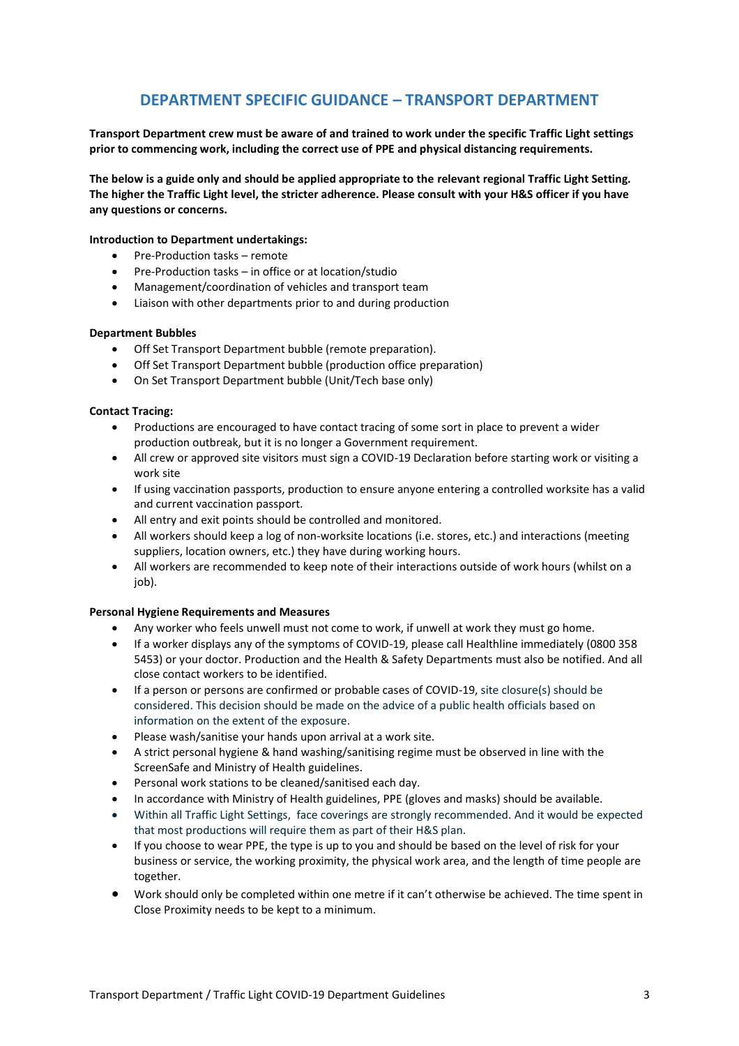# **DEPARTMENT SPECIFIC GUIDANCE – TRANSPORT DEPARTMENT**

**Transport Department crew must be aware of and trained to work under the specific Traffic Light settings prior to commencing work, including the correct use of PPE and physical distancing requirements.**

**The below is a guide only and should be applied appropriate to the relevant regional Traffic Light Setting. The higher the Traffic Light level, the stricter adherence. Please consult with your H&S officer if you have any questions or concerns.**

#### **Introduction to Department undertakings:**

- Pre-Production tasks remote
- Pre-Production tasks in office or at location/studio
- Management/coordination of vehicles and transport team
- Liaison with other departments prior to and during production

#### **Department Bubbles**

- Off Set Transport Department bubble (remote preparation).
- Off Set Transport Department bubble (production office preparation)
- On Set Transport Department bubble (Unit/Tech base only)

#### **Contact Tracing:**

- Productions are encouraged to have contact tracing of some sort in place to prevent a wider production outbreak, but it is no longer a Government requirement.
- All crew or approved site visitors must sign a COVID-19 Declaration before starting work or visiting a work site
- If using vaccination passports, production to ensure anyone entering a controlled worksite has a valid and current vaccination passport.
- All entry and exit points should be controlled and monitored.
- All workers should keep a log of non-worksite locations (i.e. stores, etc.) and interactions (meeting suppliers, location owners, etc.) they have during working hours.
- All workers are recommended to keep note of their interactions outside of work hours (whilst on a iob).

#### **Personal Hygiene Requirements and Measures**

- Any worker who feels unwell must not come to work, if unwell at work they must go home.
- If a worker displays any of the symptoms of COVID-19, please call Healthline immediately (0800 358 5453) or your doctor. Production and the Health & Safety Departments must also be notified. And all close contact workers to be identified.
- If a person or persons are confirmed or probable cases of COVID-19, site closure(s) should be considered. This decision should be made on the advice of a public health officials based on information on the extent of the exposure.
- Please wash/sanitise your hands upon arrival at a work site.
- A strict personal hygiene & hand washing/sanitising regime must be observed in line with the ScreenSafe and Ministry of Health guidelines.
- Personal work stations to be cleaned/sanitised each day.
- In accordance with Ministry of Health guidelines, PPE (gloves and masks) should be available.
- Within all Traffic Light Settings, face coverings are strongly recommended. And it would be expected that most productions will require them as part of their H&S plan.
- If you choose to wear PPE, the type is up to you and should be based on the level of risk for your business or service, the working proximity, the physical work area, and the length of time people are together.
- Work should only be completed within one metre if it can't otherwise be achieved. The time spent in Close Proximity needs to be kept to a minimum.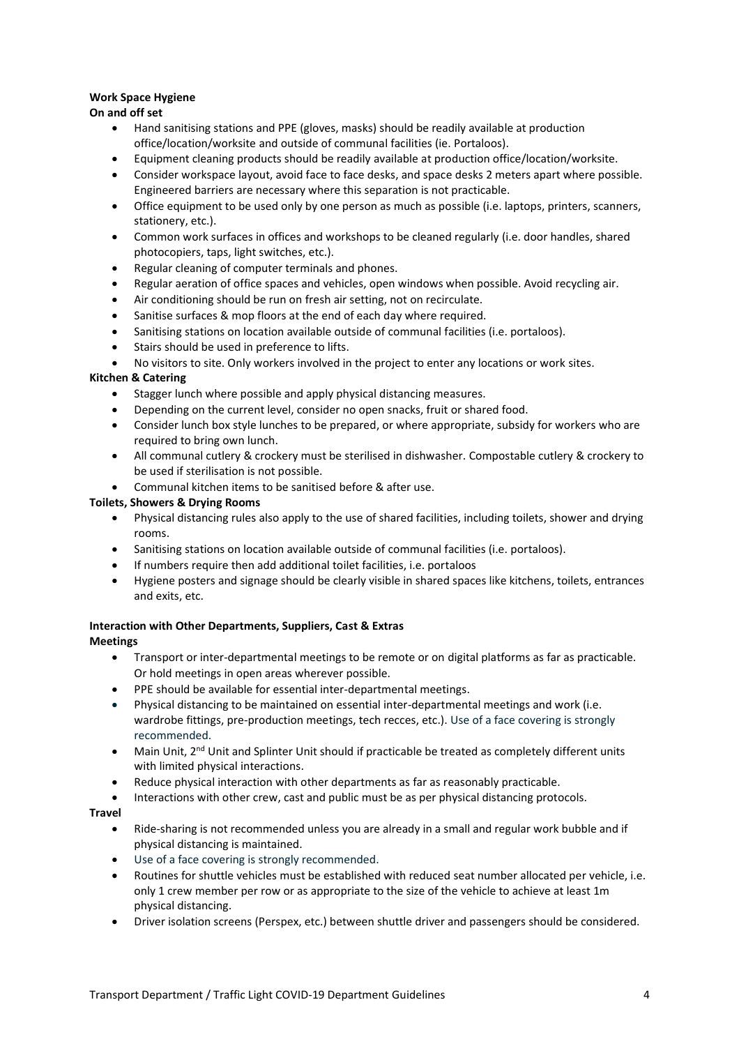# **Work Space Hygiene**

# **On and off set**

- Hand sanitising stations and PPE (gloves, masks) should be readily available at production office/location/worksite and outside of communal facilities (ie. Portaloos).
- Equipment cleaning products should be readily available at production office/location/worksite.
- Consider workspace layout, avoid face to face desks, and space desks 2 meters apart where possible. Engineered barriers are necessary where this separation is not practicable.
- Office equipment to be used only by one person as much as possible (i.e. laptops, printers, scanners, stationery, etc.).
- Common work surfaces in offices and workshops to be cleaned regularly (i.e. door handles, shared photocopiers, taps, light switches, etc.).
- Regular cleaning of computer terminals and phones.
- Regular aeration of office spaces and vehicles, open windows when possible. Avoid recycling air.
- Air conditioning should be run on fresh air setting, not on recirculate.
- Sanitise surfaces & mop floors at the end of each day where required.
- Sanitising stations on location available outside of communal facilities (i.e. portaloos).
- Stairs should be used in preference to lifts.
- No visitors to site. Only workers involved in the project to enter any locations or work sites.

# **Kitchen & Catering**

- Stagger lunch where possible and apply physical distancing measures.
- Depending on the current level, consider no open snacks, fruit or shared food.
- Consider lunch box style lunches to be prepared, or where appropriate, subsidy for workers who are required to bring own lunch.
- All communal cutlery & crockery must be sterilised in dishwasher. Compostable cutlery & crockery to be used if sterilisation is not possible.
- Communal kitchen items to be sanitised before & after use.

# **Toilets, Showers & Drying Rooms**

- Physical distancing rules also apply to the use of shared facilities, including toilets, shower and drying rooms.
- Sanitising stations on location available outside of communal facilities (i.e. portaloos).
- If numbers require then add additional toilet facilities, i.e. portaloos
- Hygiene posters and signage should be clearly visible in shared spaces like kitchens, toilets, entrances and exits, etc.

#### **Interaction with Other Departments, Suppliers, Cast & Extras Meetings**

- Transport or inter-departmental meetings to be remote or on digital platforms as far as practicable. Or hold meetings in open areas wherever possible.
- PPE should be available for essential inter-departmental meetings.
- Physical distancing to be maintained on essential inter-departmental meetings and work (i.e. wardrobe fittings, pre-production meetings, tech recces, etc.). Use of a face covering is strongly recommended.
- Main Unit, 2<sup>nd</sup> Unit and Splinter Unit should if practicable be treated as completely different units with limited physical interactions.
- Reduce physical interaction with other departments as far as reasonably practicable.
- Interactions with other crew, cast and public must be as per physical distancing protocols.

# **Travel**

- Ride-sharing is not recommended unless you are already in a small and regular work bubble and if physical distancing is maintained.
- Use of a face covering is strongly recommended.
- Routines for shuttle vehicles must be established with reduced seat number allocated per vehicle, i.e. only 1 crew member per row or as appropriate to the size of the vehicle to achieve at least 1m physical distancing.
- Driver isolation screens (Perspex, etc.) between shuttle driver and passengers should be considered.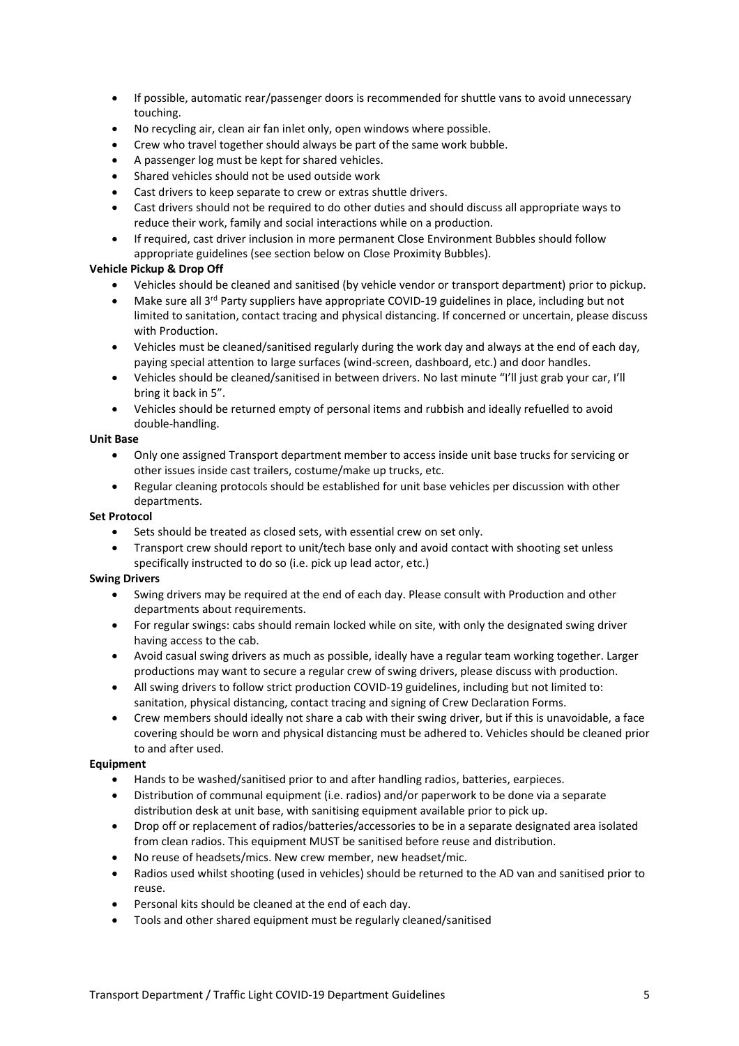- If possible, automatic rear/passenger doors is recommended for shuttle vans to avoid unnecessary touching.
- No recycling air, clean air fan inlet only, open windows where possible.
- Crew who travel together should always be part of the same work bubble.
- A passenger log must be kept for shared vehicles.
- Shared vehicles should not be used outside work
- Cast drivers to keep separate to crew or extras shuttle drivers.
- Cast drivers should not be required to do other duties and should discuss all appropriate ways to reduce their work, family and social interactions while on a production.
- If required, cast driver inclusion in more permanent Close Environment Bubbles should follow appropriate guidelines (see section below on Close Proximity Bubbles).

#### **Vehicle Pickup & Drop Off**

- Vehicles should be cleaned and sanitised (by vehicle vendor or transport department) prior to pickup.
- Make sure all  $3<sup>rd</sup>$  Party suppliers have appropriate COVID-19 guidelines in place, including but not limited to sanitation, contact tracing and physical distancing. If concerned or uncertain, please discuss with Production.
- Vehicles must be cleaned/sanitised regularly during the work day and always at the end of each day, paying special attention to large surfaces (wind-screen, dashboard, etc.) and door handles.
- Vehicles should be cleaned/sanitised in between drivers. No last minute "I'll just grab your car, I'll bring it back in 5".
- Vehicles should be returned empty of personal items and rubbish and ideally refuelled to avoid double-handling.

# **Unit Base**

- Only one assigned Transport department member to access inside unit base trucks for servicing or other issues inside cast trailers, costume/make up trucks, etc.
- Regular cleaning protocols should be established for unit base vehicles per discussion with other departments.

#### **Set Protocol**

- Sets should be treated as closed sets, with essential crew on set only.
- Transport crew should report to unit/tech base only and avoid contact with shooting set unless specifically instructed to do so (i.e. pick up lead actor, etc.)

#### **Swing Drivers**

- Swing drivers may be required at the end of each day. Please consult with Production and other departments about requirements.
- For regular swings: cabs should remain locked while on site, with only the designated swing driver having access to the cab.
- Avoid casual swing drivers as much as possible, ideally have a regular team working together. Larger productions may want to secure a regular crew of swing drivers, please discuss with production.
- All swing drivers to follow strict production COVID-19 guidelines, including but not limited to: sanitation, physical distancing, contact tracing and signing of Crew Declaration Forms.
- Crew members should ideally not share a cab with their swing driver, but if this is unavoidable, a face covering should be worn and physical distancing must be adhered to. Vehicles should be cleaned prior to and after used.

#### **Equipment**

- Hands to be washed/sanitised prior to and after handling radios, batteries, earpieces.
- Distribution of communal equipment (i.e. radios) and/or paperwork to be done via a separate distribution desk at unit base, with sanitising equipment available prior to pick up.
- Drop off or replacement of radios/batteries/accessories to be in a separate designated area isolated from clean radios. This equipment MUST be sanitised before reuse and distribution.
- No reuse of headsets/mics. New crew member, new headset/mic.
- Radios used whilst shooting (used in vehicles) should be returned to the AD van and sanitised prior to reuse.
- Personal kits should be cleaned at the end of each day.
- Tools and other shared equipment must be regularly cleaned/sanitised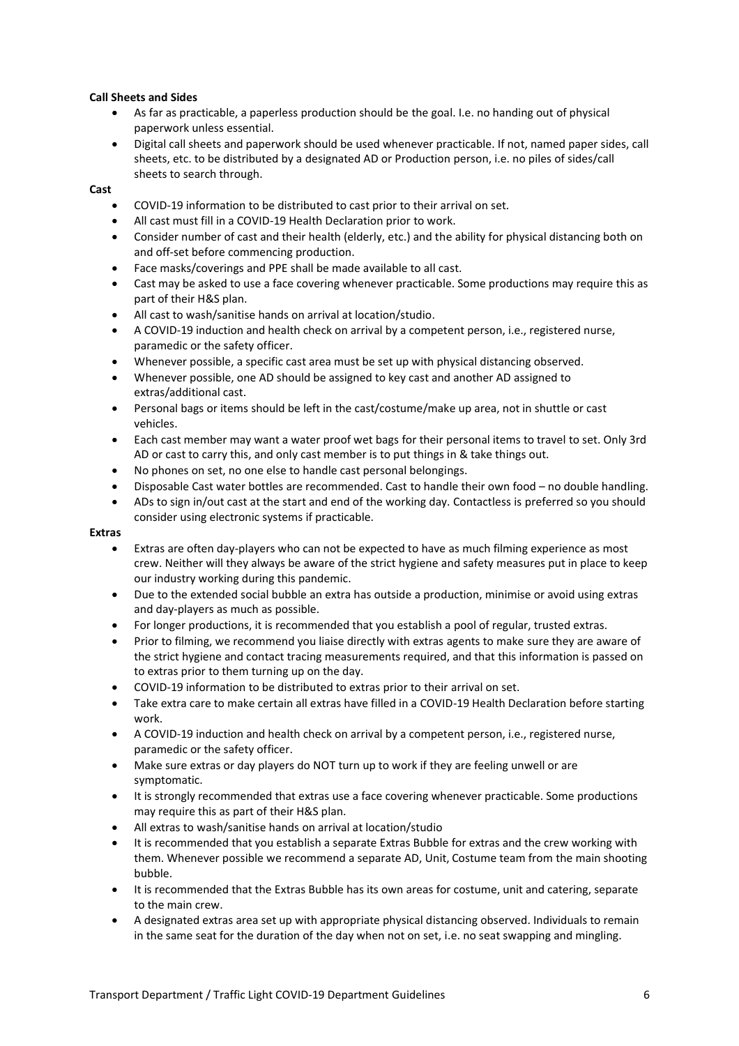### **Call Sheets and Sides**

- As far as practicable, a paperless production should be the goal. I.e. no handing out of physical paperwork unless essential.
- Digital call sheets and paperwork should be used whenever practicable. If not, named paper sides, call sheets, etc. to be distributed by a designated AD or Production person, i.e. no piles of sides/call sheets to search through.

# **Cast**

- COVID-19 information to be distributed to cast prior to their arrival on set.
- All cast must fill in a COVID-19 Health Declaration prior to work.
- Consider number of cast and their health (elderly, etc.) and the ability for physical distancing both on and off-set before commencing production.
- Face masks/coverings and PPE shall be made available to all cast.
- Cast may be asked to use a face covering whenever practicable. Some productions may require this as part of their H&S plan.
- All cast to wash/sanitise hands on arrival at location/studio.
- A COVID-19 induction and health check on arrival by a competent person, i.e., registered nurse, paramedic or the safety officer.
- Whenever possible, a specific cast area must be set up with physical distancing observed.
- Whenever possible, one AD should be assigned to key cast and another AD assigned to extras/additional cast.
- Personal bags or items should be left in the cast/costume/make up area, not in shuttle or cast vehicles.
- Each cast member may want a water proof wet bags for their personal items to travel to set. Only 3rd AD or cast to carry this, and only cast member is to put things in & take things out.
- No phones on set, no one else to handle cast personal belongings.
- Disposable Cast water bottles are recommended. Cast to handle their own food no double handling.
- ADs to sign in/out cast at the start and end of the working day. Contactless is preferred so you should consider using electronic systems if practicable.

#### **Extras**

- Extras are often day-players who can not be expected to have as much filming experience as most crew. Neither will they always be aware of the strict hygiene and safety measures put in place to keep our industry working during this pandemic.
- Due to the extended social bubble an extra has outside a production, minimise or avoid using extras and day-players as much as possible.
- For longer productions, it is recommended that you establish a pool of regular, trusted extras.
- Prior to filming, we recommend you liaise directly with extras agents to make sure they are aware of the strict hygiene and contact tracing measurements required, and that this information is passed on to extras prior to them turning up on the day.
- COVID-19 information to be distributed to extras prior to their arrival on set.
- Take extra care to make certain all extras have filled in a COVID-19 Health Declaration before starting work.
- A COVID-19 induction and health check on arrival by a competent person, i.e., registered nurse, paramedic or the safety officer.
- Make sure extras or day players do NOT turn up to work if they are feeling unwell or are symptomatic.
- It is strongly recommended that extras use a face covering whenever practicable. Some productions may require this as part of their H&S plan.
- All extras to wash/sanitise hands on arrival at location/studio
- It is recommended that you establish a separate Extras Bubble for extras and the crew working with them. Whenever possible we recommend a separate AD, Unit, Costume team from the main shooting bubble.
- It is recommended that the Extras Bubble has its own areas for costume, unit and catering, separate to the main crew.
- A designated extras area set up with appropriate physical distancing observed. Individuals to remain in the same seat for the duration of the day when not on set, i.e. no seat swapping and mingling.